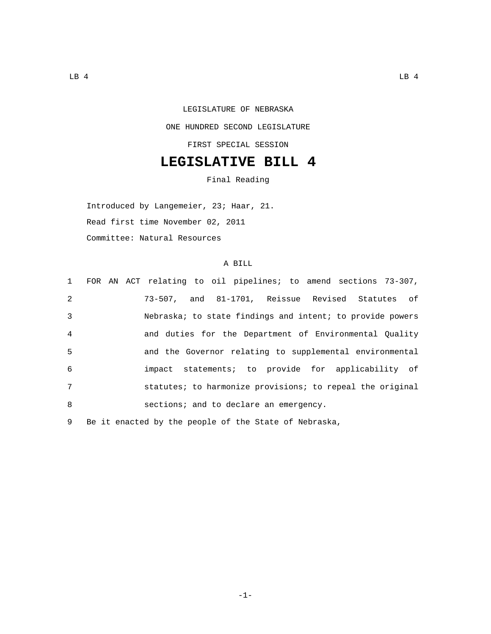## LEGISLATURE OF NEBRASKA ONE HUNDRED SECOND LEGISLATURE FIRST SPECIAL SESSION

## **LEGISLATIVE BILL 4**

Final Reading

Introduced by Langemeier, 23; Haar, 21. Read first time November 02, 2011 Committee: Natural Resources

## A BILL

|   | 1 FOR AN ACT relating to oil pipelines; to amend sections 73-307, |
|---|-------------------------------------------------------------------|
| 2 | 73-507, and 81-1701, Reissue Revised Statutes of                  |
| 3 | Nebraska; to state findings and intent; to provide powers         |
| 4 | and duties for the Department of Environmental Quality            |
| 5 | and the Governor relating to supplemental environmental           |
| 6 | impact statements; to provide for applicability of                |
| 7 | statutes; to harmonize provisions; to repeal the original         |
| 8 | sections; and to declare an emergency.                            |
|   |                                                                   |

9 Be it enacted by the people of the State of Nebraska,

-1-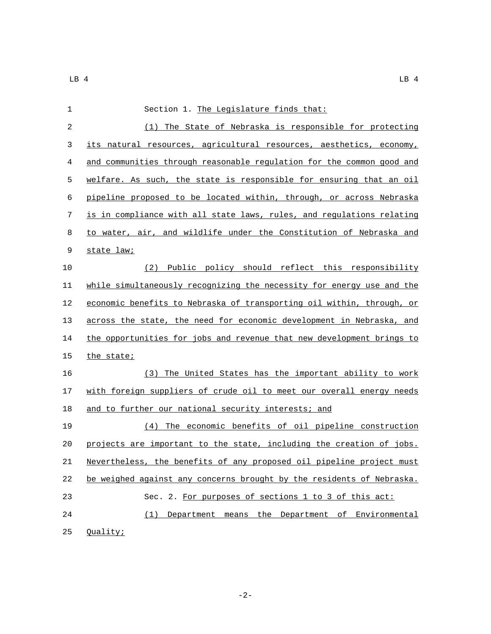| 1  | Section 1. The Legislature finds that:                                |
|----|-----------------------------------------------------------------------|
| 2  | (1) The State of Nebraska is responsible for protecting               |
| 3  | its natural resources, agricultural resources, aesthetics, economy,   |
| 4  | and communities through reasonable regulation for the common good and |
| 5  | welfare. As such, the state is responsible for ensuring that an oil   |
| 6  | pipeline proposed to be located within, through, or across Nebraska   |
| 7  | is in compliance with all state laws, rules, and regulations relating |
| 8  | to water, air, and wildlife under the Constitution of Nebraska and    |
| 9  | state law;                                                            |
| 10 | Public policy should reflect this responsibility<br>(2)               |
| 11 | while simultaneously recognizing the necessity for energy use and the |
| 12 | economic benefits to Nebraska of transporting oil within, through, or |
| 13 | across the state, the need for economic development in Nebraska, and  |
| 14 | the opportunities for jobs and revenue that new development brings to |
| 15 | the state;                                                            |
| 16 | (3) The United States has the important ability to work               |
| 17 | with foreign suppliers of crude oil to meet our overall energy needs  |
| 18 | and to further our national security interests; and                   |
| 19 | (4) The economic benefits of oil pipeline construction                |
| 20 | projects are important to the state, including the creation of jobs.  |
| 21 | Nevertheless, the benefits of any proposed oil pipeline project must  |
| 22 | be weighed against any concerns brought by the residents of Nebraska. |
| 23 | Sec. 2. For purposes of sections 1 to 3 of this act:                  |
| 24 | Department means the Department of Environmental<br>(1)               |
| 25 | Quality;                                                              |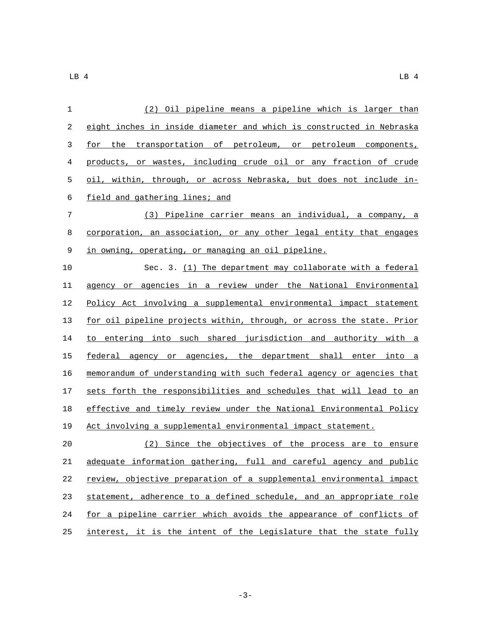| 1  | (2) Oil pipeline means a pipeline which is larger than                |
|----|-----------------------------------------------------------------------|
| 2  | eight inches in inside diameter and which is constructed in Nebraska  |
| 3  | for the transportation of petroleum, or petroleum components,         |
| 4  | products, or wastes, including crude oil or any fraction of crude     |
| 5  | oil, within, through, or across Nebraska, but does not include in-    |
| 6  | field and gathering lines; and                                        |
| 7  | (3) Pipeline carrier means an individual, a company, a                |
| 8  | corporation, an association, or any other legal entity that engages   |
| 9  | in owning, operating, or managing an oil pipeline.                    |
| 10 | Sec. 3. (1) The department may collaborate with a federal             |
| 11 | agency or agencies in a review under the National Environmental       |
| 12 | Policy Act involving a supplemental environmental impact statement    |
| 13 | for oil pipeline projects within, through, or across the state. Prior |
| 14 | to entering into such shared jurisdiction and authority with a        |
| 15 | federal agency or agencies, the department shall enter into a         |
| 16 | memorandum of understanding with such federal agency or agencies that |
| 17 | sets forth the responsibilities and schedules that will lead to an    |
| 18 | effective and timely review under the National Environmental Policy   |
| 19 | Act involving a supplemental environmental impact statement.          |
| 20 | (2) Since the objectives of the process are to ensure                 |
| 21 | adequate information gathering, full and careful agency and public    |
| 22 | review, objective preparation of a supplemental environmental impact  |
| 23 | statement, adherence to a defined schedule, and an appropriate role   |
| 24 | for a pipeline carrier which avoids the appearance of conflicts of    |
| 25 | interest, it is the intent of the Legislature that the state fully    |

-3-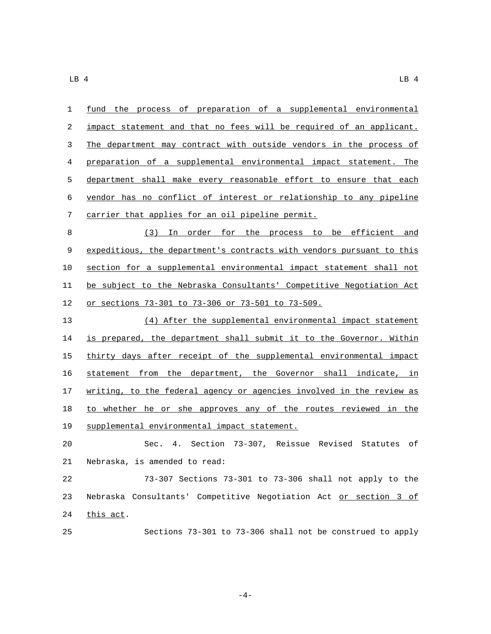| $\mathbf 1$ | fund the process of preparation of a supplemental environmental       |
|-------------|-----------------------------------------------------------------------|
| $\sqrt{2}$  | impact statement and that no fees will be required of an applicant.   |
| 3           | The department may contract with outside vendors in the process of    |
| 4           | preparation of a supplemental environmental impact statement. The     |
| 5           | department shall make every reasonable effort to ensure that each     |
| 6           | vendor has no conflict of interest or relationship to any pipeline    |
| 7           | carrier that applies for an oil pipeline permit.                      |
| 8           | (3) In order for the process to be efficient and                      |
| $\mathsf 9$ | expeditious, the department's contracts with vendors pursuant to this |
| 10          | section for a supplemental environmental impact statement shall not   |
| 11          | be subject to the Nebraska Consultants' Competitive Negotiation Act   |
| 12          | <u>or sections 73-301 to 73-306 or 73-501 to 73-509.</u>              |
| 13          | (4) After the supplemental environmental impact statement             |
| 14          | is prepared, the department shall submit it to the Governor. Within   |
| 15          | thirty days after receipt of the supplemental environmental impact    |
| 16          | statement from the department, the Governor shall indicate, in        |
| 17          | writing, to the federal agency or agencies involved in the review as  |
| 18          | to whether he or she approves any of the routes reviewed in the       |
| 19          | supplemental environmental impact statement.                          |
| 20          | Sec. 4. Section 73-307, Reissue Revised Statutes of                   |
| 21          | Nebraska, is amended to read:                                         |
|             |                                                                       |

 73-307 Sections 73-301 to 73-306 shall not apply to the 23 Nebraska Consultants' Competitive Negotiation Act or section 3 of 24 this act.

Sections 73-301 to 73-306 shall not be construed to apply

-4-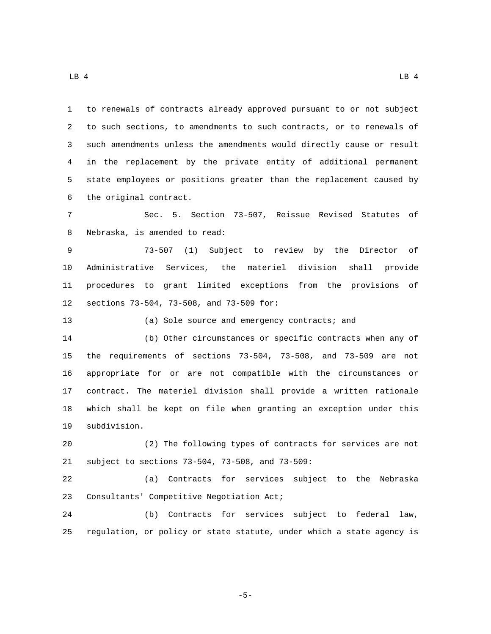$\Box$ B 4 LB 4 LB 4

 to renewals of contracts already approved pursuant to or not subject to such sections, to amendments to such contracts, or to renewals of such amendments unless the amendments would directly cause or result in the replacement by the private entity of additional permanent state employees or positions greater than the replacement caused by 6 the original contract. Sec. 5. Section 73-507, Reissue Revised Statutes of 8 Nebraska, is amended to read: 73-507 (1) Subject to review by the Director of Administrative Services, the materiel division shall provide procedures to grant limited exceptions from the provisions of 12 sections 73-504, 73-508, and 73-509 for: (a) Sole source and emergency contracts; and (b) Other circumstances or specific contracts when any of the requirements of sections 73-504, 73-508, and 73-509 are not appropriate for or are not compatible with the circumstances or contract. The materiel division shall provide a written rationale which shall be kept on file when granting an exception under this 19 subdivision. (2) The following types of contracts for services are not 21 subject to sections 73-504, 73-508, and 73-509: (a) Contracts for services subject to the Nebraska 23 Consultants' Competitive Negotiation Act; (b) Contracts for services subject to federal law, regulation, or policy or state statute, under which a state agency is

-5-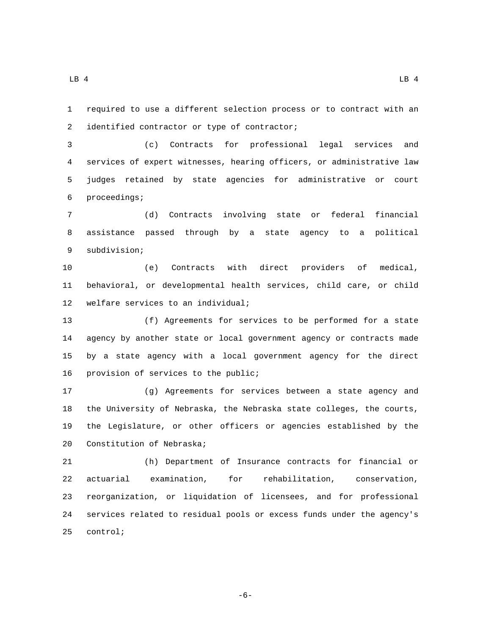required to use a different selection process or to contract with an

2 identified contractor or type of contractor;

 (c) Contracts for professional legal services and services of expert witnesses, hearing officers, or administrative law judges retained by state agencies for administrative or court 6 proceedings;

 (d) Contracts involving state or federal financial assistance passed through by a state agency to a political 9 subdivision;

 (e) Contracts with direct providers of medical, behavioral, or developmental health services, child care, or child 12 welfare services to an individual;

 (f) Agreements for services to be performed for a state agency by another state or local government agency or contracts made by a state agency with a local government agency for the direct 16 provision of services to the public;

 (g) Agreements for services between a state agency and the University of Nebraska, the Nebraska state colleges, the courts, the Legislature, or other officers or agencies established by the 20 Constitution of Nebraska;

 (h) Department of Insurance contracts for financial or actuarial examination, for rehabilitation, conservation, reorganization, or liquidation of licensees, and for professional services related to residual pools or excess funds under the agency's 25 control;

-6-